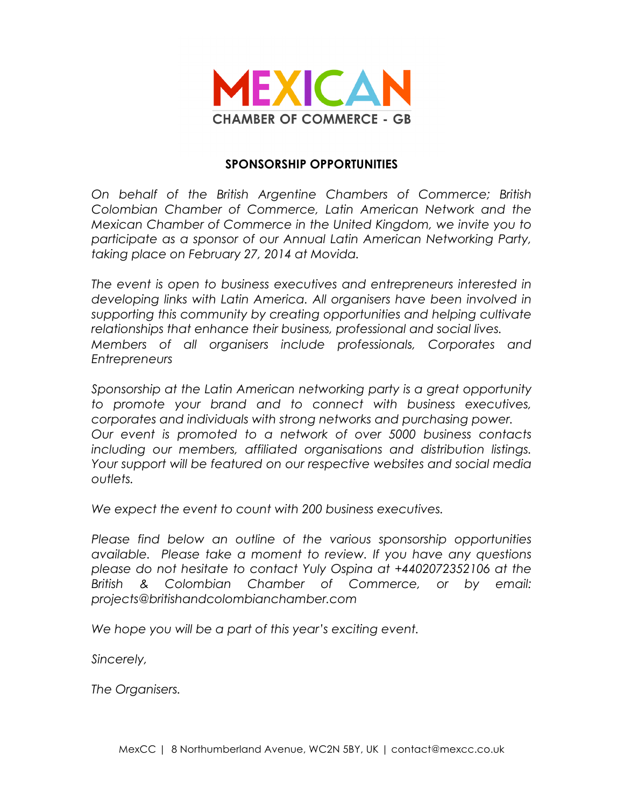

## **SPONSORSHIP OPPORTUNITIES**

*On behalf of the British Argentine Chambers of Commerce; British Colombian Chamber of Commerce, Latin American Network and the Mexican Chamber of Commerce in the United Kingdom, we invite you to participate as a sponsor of our Annual Latin American Networking Party, taking place on February 27, 2014 at Movida.*

*The event is open to business executives and entrepreneurs interested in developing links with Latin America. All organisers have been involved in supporting this community by creating opportunities and helping cultivate relationships that enhance their business, professional and social lives. Members of all organisers include professionals, Corporates and Entrepreneurs*

*Sponsorship at the Latin American networking party is a great opportunity to promote your brand and to connect with business executives, corporates and individuals with strong networks and purchasing power. Our event is promoted to a network of over 5000 business contacts including our members, affiliated organisations and distribution listings. Your support will be featured on our respective websites and social media outlets.*

*We expect the event to count with 200 business executives.*

*Please find below an outline of the various sponsorship opportunities available. Please take a moment to review. If you have any questions please do not hesitate to contact Yuly Ospina at +4402072352106 at the British & Colombian Chamber of Commerce, or by email: projects@britishandcolombianchamber.com* 

*We hope you will be a part of this year's exciting event.*

*Sincerely,*

*The Organisers.*